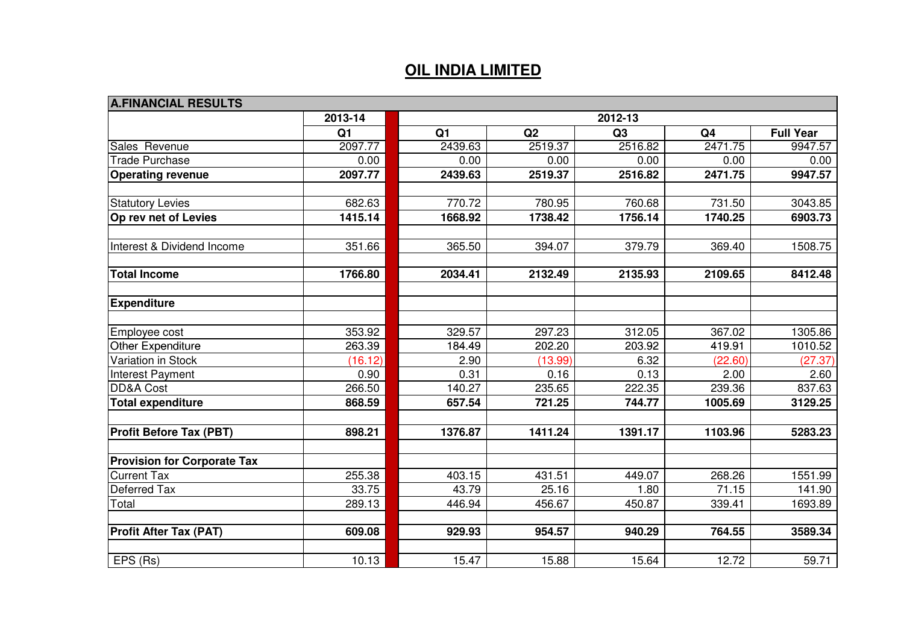## **OIL INDIA LIMITED**

| <b>A.FINANCIAL RESULTS</b>         |                |                |         |                |                |                  |
|------------------------------------|----------------|----------------|---------|----------------|----------------|------------------|
|                                    | 2013-14        | 2012-13        |         |                |                |                  |
|                                    | Q <sub>1</sub> | Q <sub>1</sub> | Q2      | Q <sub>3</sub> | Q <sub>4</sub> | <b>Full Year</b> |
| Sales Revenue                      | 2097.77        | 2439.63        | 2519.37 | 2516.82        | 2471.75        | 9947.57          |
| <b>Trade Purchase</b>              | 0.00           | 0.00           | 0.00    | 0.00           | 0.00           | 0.00             |
| <b>Operating revenue</b>           | 2097.77        | 2439.63        | 2519.37 | 2516.82        | 2471.75        | 9947.57          |
| <b>Statutory Levies</b>            | 682.63         | 770.72         | 780.95  | 760.68         | 731.50         | 3043.85          |
| Op rev net of Levies               | 1415.14        | 1668.92        | 1738.42 | 1756.14        | 1740.25        | 6903.73          |
| Interest & Dividend Income         | 351.66         | 365.50         | 394.07  | 379.79         | 369.40         | 1508.75          |
| <b>Total Income</b>                | 1766.80        | 2034.41        | 2132.49 | 2135.93        | 2109.65        | 8412.48          |
| <b>Expenditure</b>                 |                |                |         |                |                |                  |
| Employee cost                      | 353.92         | 329.57         | 297.23  | 312.05         | 367.02         | 1305.86          |
| Other Expenditure                  | 263.39         | 184.49         | 202.20  | 203.92         | 419.91         | 1010.52          |
| Variation in Stock                 | (16.12)        | 2.90           | (13.99) | 6.32           | (22.60)        | (27.37)          |
| Interest Payment                   | 0.90           | 0.31           | 0.16    | 0.13           | 2.00           | 2.60             |
| <b>DD&amp;A Cost</b>               | 266.50         | 140.27         | 235.65  | 222.35         | 239.36         | 837.63           |
| <b>Total expenditure</b>           | 868.59         | 657.54         | 721.25  | 744.77         | 1005.69        | 3129.25          |
| <b>Profit Before Tax (PBT)</b>     | 898.21         | 1376.87        | 1411.24 | 1391.17        | 1103.96        | 5283.23          |
| <b>Provision for Corporate Tax</b> |                |                |         |                |                |                  |
| <b>Current Tax</b>                 | 255.38         | 403.15         | 431.51  | 449.07         | 268.26         | 1551.99          |
| <b>Deferred Tax</b>                | 33.75          | 43.79          | 25.16   | 1.80           | 71.15          | 141.90           |
| Total                              | 289.13         | 446.94         | 456.67  | 450.87         | 339.41         | 1693.89          |
| <b>Profit After Tax (PAT)</b>      | 609.08         | 929.93         | 954.57  | 940.29         | 764.55         | 3589.34          |
|                                    |                |                |         |                |                |                  |
| EPS (Rs)                           | 10.13          | 15.47          | 15.88   | 15.64          | 12.72          | 59.71            |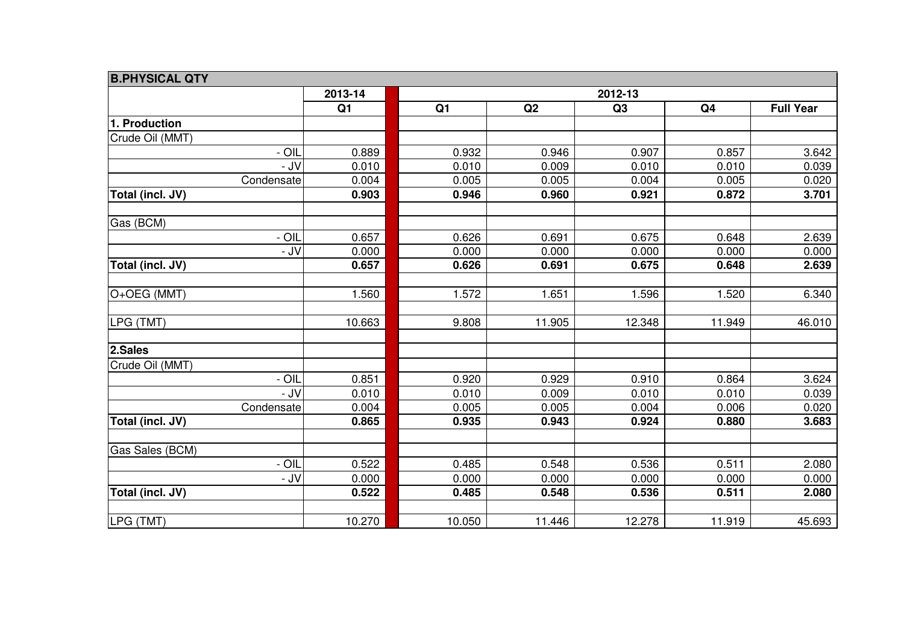| <b>B.PHYSICAL QTY</b> |                |                |        |        |                |                  |
|-----------------------|----------------|----------------|--------|--------|----------------|------------------|
|                       | 2013-14        | 2012-13        |        |        |                |                  |
|                       | Q <sub>1</sub> | Q <sub>1</sub> | Q2     | Q3     | Q <sub>4</sub> | <b>Full Year</b> |
| 1. Production         |                |                |        |        |                |                  |
| Crude Oil (MMT)       |                |                |        |        |                |                  |
| - OIL                 | 0.889          | 0.932          | 0.946  | 0.907  | 0.857          | 3.642            |
| - JV                  | 0.010          | 0.010          | 0.009  | 0.010  | 0.010          | 0.039            |
| Condensate            | 0.004          | 0.005          | 0.005  | 0.004  | 0.005          | 0.020            |
| Total (incl. JV)      | 0.903          | 0.946          | 0.960  | 0.921  | 0.872          | 3.701            |
| Gas (BCM)             |                |                |        |        |                |                  |
| - OIL                 | 0.657          | 0.626          | 0.691  | 0.675  | 0.648          | 2.639            |
| - JV                  | 0.000          | 0.000          | 0.000  | 0.000  | 0.000          | 0.000            |
| Total (incl. JV)      | 0.657          | 0.626          | 0.691  | 0.675  | 0.648          | 2.639            |
| O+OEG (MMT)           | 1.560          | 1.572          | 1.651  | 1.596  | 1.520          | 6.340            |
|                       |                |                |        |        |                |                  |
| LPG (TMT)             | 10.663         | 9.808          | 11.905 | 12.348 | 11.949         | 46.010           |
| 2.Sales               |                |                |        |        |                |                  |
| Crude Oil (MMT)       |                |                |        |        |                |                  |
| - OIL                 | 0.851          | 0.920          | 0.929  | 0.910  | 0.864          | 3.624            |
| - JV                  | 0.010          | 0.010          | 0.009  | 0.010  | 0.010          | 0.039            |
| Condensate            | 0.004          | 0.005          | 0.005  | 0.004  | 0.006          | 0.020            |
| Total (incl. JV)      | 0.865          | 0.935          | 0.943  | 0.924  | 0.880          | 3.683            |
| Gas Sales (BCM)       |                |                |        |        |                |                  |
| - OIL                 | 0.522          | 0.485          | 0.548  | 0.536  | 0.511          | 2.080            |
| - JV                  | 0.000          | 0.000          | 0.000  | 0.000  | 0.000          | 0.000            |
| Total (incl. JV)      | 0.522          | 0.485          | 0.548  | 0.536  | 0.511          | 2.080            |
|                       |                |                |        |        |                |                  |
| LPG (TMT)             | 10.270         | 10.050         | 11.446 | 12.278 | 11.919         | 45.693           |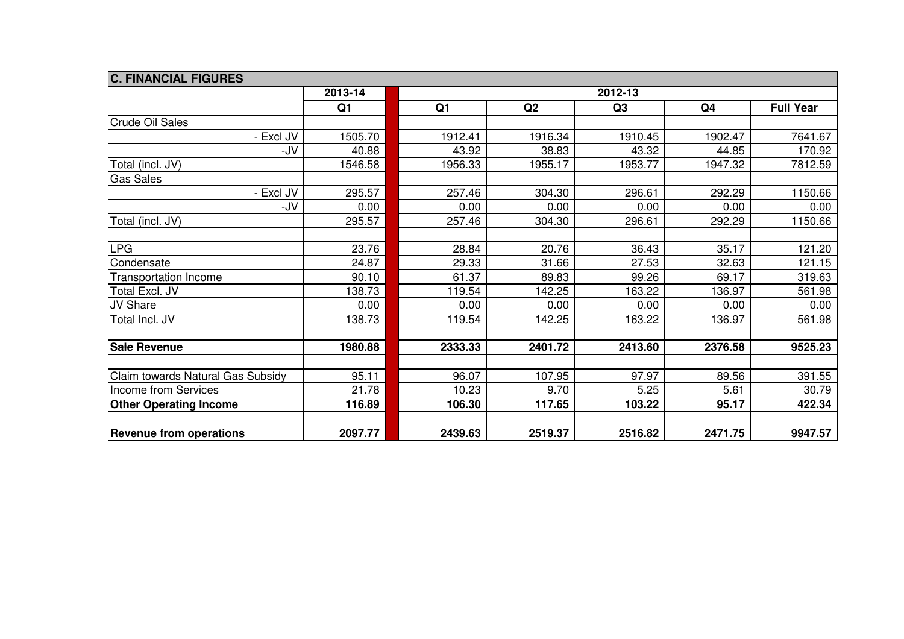| <b>C. FINANCIAL FIGURES</b>       |                |                |         |         |                |                  |
|-----------------------------------|----------------|----------------|---------|---------|----------------|------------------|
|                                   | 2013-14        |                | 2012-13 |         |                |                  |
|                                   | Q <sub>1</sub> | Q <sub>1</sub> | Q2      | Q3      | Q <sub>4</sub> | <b>Full Year</b> |
| <b>Crude Oil Sales</b>            |                |                |         |         |                |                  |
| - Excl JV                         | 1505.70        | 1912.41        | 1916.34 | 1910.45 | 1902.47        | 7641.67          |
| -JV                               | 40.88          | 43.92          | 38.83   | 43.32   | 44.85          | 170.92           |
| Total (incl. JV)                  | 1546.58        | 1956.33        | 1955.17 | 1953.77 | 1947.32        | 7812.59          |
| <b>Gas Sales</b>                  |                |                |         |         |                |                  |
| - Excl JV                         | 295.57         | 257.46         | 304.30  | 296.61  | 292.29         | 1150.66          |
| -JV                               | 0.00           | 0.00           | 0.00    | 0.00    | 0.00           | 0.00             |
| Total (incl. JV)                  | 295.57         | 257.46         | 304.30  | 296.61  | 292.29         | 1150.66          |
|                                   |                |                |         |         |                |                  |
| <b>LPG</b>                        | 23.76          | 28.84          | 20.76   | 36.43   | 35.17          | 121.20           |
| Condensate                        | 24.87          | 29.33          | 31.66   | 27.53   | 32.63          | 121.15           |
| <b>Transportation Income</b>      | 90.10          | 61.37          | 89.83   | 99.26   | 69.17          | 319.63           |
| <b>Total Excl. JV</b>             | 138.73         | 119.54         | 142.25  | 163.22  | 136.97         | 561.98           |
| <b>JV Share</b>                   | 0.00           | 0.00           | 0.00    | 0.00    | 0.00           | 0.00             |
| Total Incl. JV                    | 138.73         | 119.54         | 142.25  | 163.22  | 136.97         | 561.98           |
|                                   |                |                |         |         |                |                  |
| <b>Sale Revenue</b>               | 1980.88        | 2333.33        | 2401.72 | 2413.60 | 2376.58        | 9525.23          |
|                                   |                |                |         |         |                |                  |
| Claim towards Natural Gas Subsidy | 95.11          | 96.07          | 107.95  | 97.97   | 89.56          | 391.55           |
| Income from Services              | 21.78          | 10.23          | 9.70    | 5.25    | 5.61           | 30.79            |
| <b>Other Operating Income</b>     | 116.89         | 106.30         | 117.65  | 103.22  | 95.17          | 422.34           |
|                                   |                |                |         |         |                |                  |
| <b>Revenue from operations</b>    | 2097.77        | 2439.63        | 2519.37 | 2516.82 | 2471.75        | 9947.57          |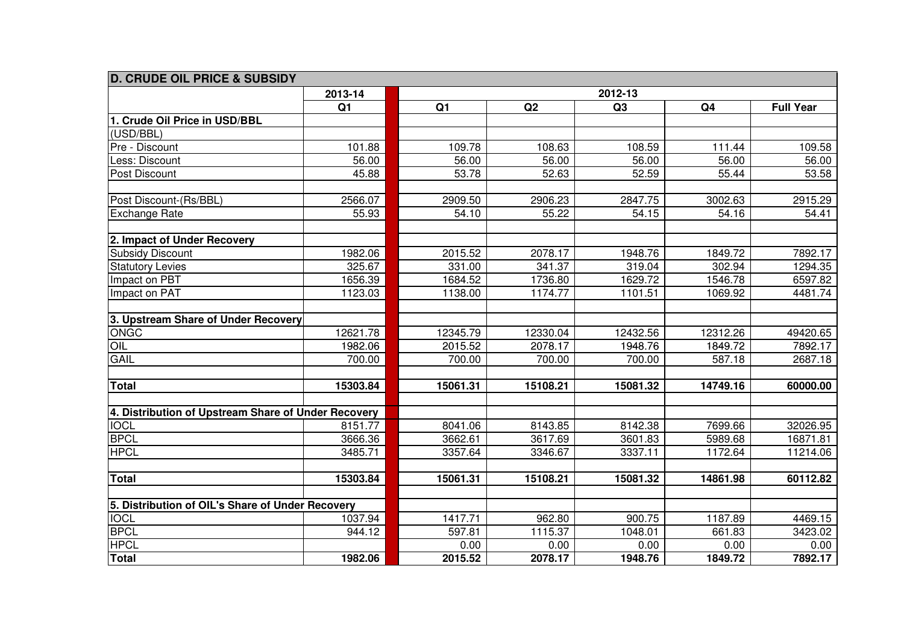| <b>D. CRUDE OIL PRICE &amp; SUBSIDY</b>             |                |          |          |                |                |                  |
|-----------------------------------------------------|----------------|----------|----------|----------------|----------------|------------------|
|                                                     | 2013-14        | 2012-13  |          |                |                |                  |
|                                                     | Q <sub>1</sub> | Q1       | Q2       | Q <sub>3</sub> | Q <sub>4</sub> | <b>Full Year</b> |
| 1. Crude Oil Price in USD/BBL                       |                |          |          |                |                |                  |
| (USD/BBL)                                           |                |          |          |                |                |                  |
| Pre - Discount                                      | 101.88         | 109.78   | 108.63   | 108.59         | 111.44         | 109.58           |
| Less: Discount                                      | 56.00          | 56.00    | 56.00    | 56.00          | 56.00          | 56.00            |
| Post Discount                                       | 45.88          | 53.78    | 52.63    | 52.59          | 55.44          | 53.58            |
|                                                     |                |          |          |                |                |                  |
| Post Discount-(Rs/BBL)                              | 2566.07        | 2909.50  | 2906.23  | 2847.75        | 3002.63        | 2915.29          |
| <b>Exchange Rate</b>                                | 55.93          | 54.10    | 55.22    | 54.15          | 54.16          | 54.41            |
|                                                     |                |          |          |                |                |                  |
| 2. Impact of Under Recovery                         |                |          |          |                |                |                  |
| <b>Subsidy Discount</b>                             | 1982.06        | 2015.52  | 2078.17  | 1948.76        | 1849.72        | 7892.17          |
| <b>Statutory Levies</b>                             | 325.67         | 331.00   | 341.37   | 319.04         | 302.94         | 1294.35          |
| Impact on PBT                                       | 1656.39        | 1684.52  | 1736.80  | 1629.72        | 1546.78        | 6597.82          |
| Impact on PAT                                       | 1123.03        | 1138.00  | 1174.77  | 1101.51        | 1069.92        | 4481.74          |
|                                                     |                |          |          |                |                |                  |
| 3. Upstream Share of Under Recovery                 |                |          |          |                |                |                  |
| <b>ONGC</b>                                         | 12621.78       | 12345.79 | 12330.04 | 12432.56       | 12312.26       | 49420.65         |
| OIL                                                 | 1982.06        | 2015.52  | 2078.17  | 1948.76        | 1849.72        | 7892.17          |
| <b>GAIL</b>                                         | 700.00         | 700.00   | 700.00   | 700.00         | 587.18         | 2687.18          |
|                                                     |                |          |          |                |                |                  |
| <b>Total</b>                                        | 15303.84       | 15061.31 | 15108.21 | 15081.32       | 14749.16       | 60000.00         |
|                                                     |                |          |          |                |                |                  |
| 4. Distribution of Upstream Share of Under Recovery |                |          |          |                |                |                  |
| <b>IOCL</b>                                         | 8151.77        | 8041.06  | 8143.85  | 8142.38        | 7699.66        | 32026.95         |
| <b>BPCL</b>                                         | 3666.36        | 3662.61  | 3617.69  | 3601.83        | 5989.68        | 16871.81         |
| <b>HPCL</b>                                         | 3485.71        | 3357.64  | 3346.67  | 3337.11        | 1172.64        | 11214.06         |
|                                                     |                |          |          |                |                |                  |
| <b>Total</b>                                        | 15303.84       | 15061.31 | 15108.21 | 15081.32       | 14861.98       | 60112.82         |
|                                                     |                |          |          |                |                |                  |
| 5. Distribution of OIL's Share of Under Recovery    |                |          |          |                |                |                  |
| <b>IOCL</b>                                         | 1037.94        | 1417.71  | 962.80   | 900.75         | 1187.89        | 4469.15          |
| <b>BPCL</b>                                         | 944.12         | 597.81   | 1115.37  | 1048.01        | 661.83         | 3423.02          |
| <b>HPCL</b>                                         |                | 0.00     | 0.00     | 0.00           | 0.00           | 0.00             |
| <b>Total</b>                                        | 1982.06        | 2015.52  | 2078.17  | 1948.76        | 1849.72        | 7892.17          |